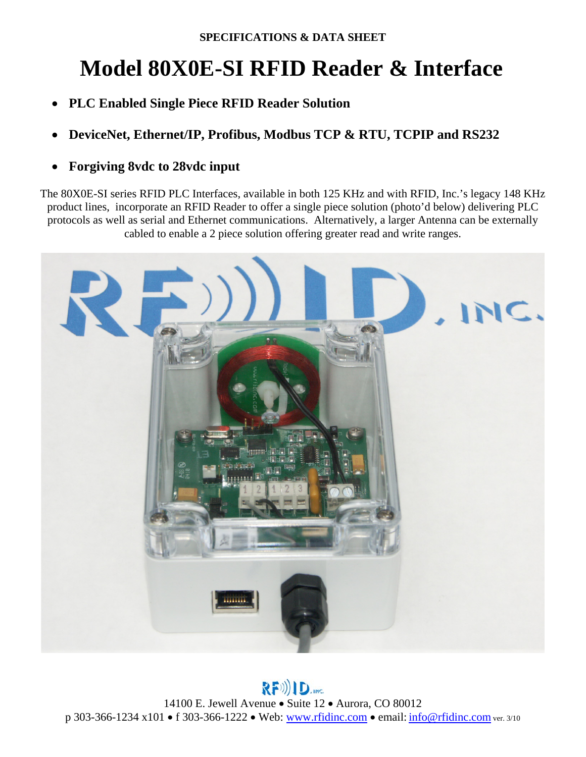## **Model 80X0E-SI RFID Reader & Interface**

- **PLC Enabled Single Piece RFID Reader Solution**
- **DeviceNet, Ethernet/IP, Profibus, Modbus TCP & RTU, TCPIP and RS232**
- **Forgiving 8vdc to 28vdc input**

The 80X0E-SI series RFID PLC Interfaces, available in both 125 KHz and with RFID, Inc.'s legacy 148 KHz product lines, incorporate an RFID Reader to offer a single piece solution (photo'd below) delivering PLC protocols as well as serial and Ethernet communications. Alternatively, a larger Antenna can be externally cabled to enable a 2 piece solution offering greater read and write ranges.



 $R(F))$ )  $D_{\text{inc}}$ 14100 E. Jewell Avenue • Suite 12 • Aurora, CO 80012 p 303-366-1234 x101 f 303-366-1222 Web: www.rfidinc.com email: info@rfidinc.com ver. 3/10